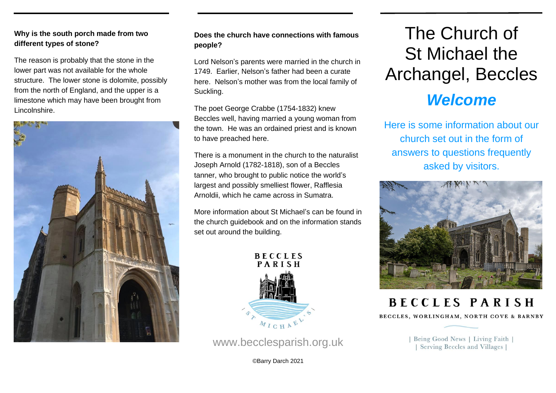### **Why is the south porch made from two different types of stone?**

The reason is probably that the stone in the lower part was not available for the whole structure. The lower stone is dolomite, possibly from the north of England, and the upper is a limestone which may have been brought from Lincolnshire.



# **Does the church have connections with famous people?**

Lord Nelson's parents were married in the church in 1749. Earlier, Nelson's father had been a curate here. Nelson's mother was from the local family of Suckling.

The poet George Crabbe (1754-1832) knew Beccles well, having married a young woman from the town. He was an ordained priest and is known to have preached here.

There is a monument in the church to the naturalist Joseph Arnold (1782-1818), son of a Beccles tanner, who brought to public notice the world's largest and possibly smelliest flower, Rafflesia Arnoldii, which he came across in Sumatra.

More information about St Michael's can be found in the church guidebook and on the information stands set out around the building.



[www.becclesparish.org.uk](http://www.becclesparish.org.uk/)

©Barry Darch 2021

# The Church of St Michael the Archangel, Beccles

# *Welcome*

Here is some information about our church set out in the form of answers to questions frequently asked by visitors.



**BECCLES PARISH** 

BECCLES, WORLINGHAM, NORTH COVE & BARNBY